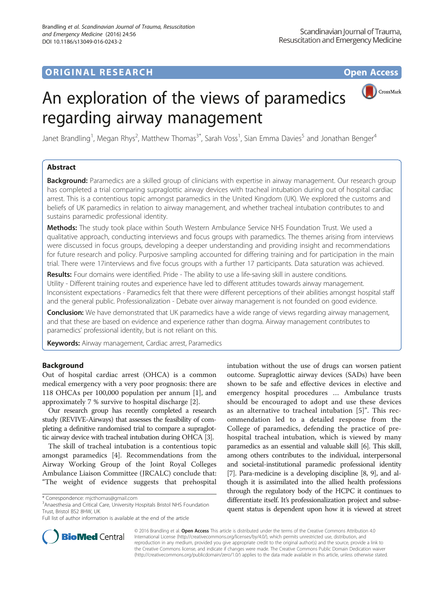# **ORIGINAL RESEARCH CONSUMING ACCESS**



# An exploration of the views of paramedics regarding airway management

Janet Brandling<sup>1</sup>, Megan Rhys<sup>2</sup>, Matthew Thomas<sup>3\*</sup>, Sarah Voss<sup>1</sup>, Sian Emma Davies<sup>5</sup> and Jonathan Benger<sup>4</sup>

# Abstract

**Background:** Paramedics are a skilled group of clinicians with expertise in airway management. Our research group has completed a trial comparing supraglottic airway devices with tracheal intubation during out of hospital cardiac arrest. This is a contentious topic amongst paramedics in the United Kingdom (UK). We explored the customs and beliefs of UK paramedics in relation to airway management, and whether tracheal intubation contributes to and sustains paramedic professional identity.

Methods: The study took place within South Western Ambulance Service NHS Foundation Trust. We used a qualitative approach, conducting interviews and focus groups with paramedics. The themes arising from interviews were discussed in focus groups, developing a deeper understanding and providing insight and recommendations for future research and policy. Purposive sampling accounted for differing training and for participation in the main trial. There were 17interviews and five focus groups with a further 17 participants. Data saturation was achieved.

Results: Four domains were identified. Pride - The ability to use a life-saving skill in austere conditions. Utility - Different training routes and experience have led to different attitudes towards airway management. Inconsistent expectations - Paramedics felt that there were different perceptions of their abilities amongst hospital staff and the general public. Professionalization - Debate over airway management is not founded on good evidence.

**Conclusion:** We have demonstrated that UK paramedics have a wide range of views regarding airway management, and that these are based on evidence and experience rather than dogma. Airway management contributes to paramedics' professional identity, but is not reliant on this.

**Keywords:** Airway management, Cardiac arrest, Paramedics

# Background

Out of hospital cardiac arrest (OHCA) is a common medical emergency with a very poor prognosis: there are 118 OHCAs per 100,000 population per annum [[1\]](#page-6-0), and approximately 7 % survive to hospital discharge [\[2](#page-6-0)].

Our research group has recently completed a research study (REVIVE-Airways) that assesses the feasibility of completing a definitive randomised trial to compare a supraglottic airway device with tracheal intubation during OHCA [\[3](#page-6-0)].

The skill of tracheal intubation is a contentious topic amongst paramedics [\[4](#page-6-0)]. Recommendations from the Airway Working Group of the Joint Royal Colleges Ambulance Liaison Committee (JRCALC) conclude that: "The weight of evidence suggests that prehospital

Anaesthesia and Critical Care, University Hospitals Bristol NHS Foundation Trust, Bristol BS2 8HW, UK

intubation without the use of drugs can worsen patient outcome. Supraglottic airway devices (SADs) have been shown to be safe and effective devices in elective and emergency hospital procedures … Ambulance trusts should be encouraged to adopt and use these devices as an alternative to tracheal intubation [[5\]](#page-6-0)". This recommendation led to a detailed response from the College of paramedics, defending the practice of prehospital tracheal intubation, which is viewed by many paramedics as an essential and valuable skill [\[6\]](#page-6-0). This skill, among others contributes to the individual, interpersonal and societal-institutional paramedic professional identity [[7](#page-6-0)]. Para-medicine is a developing discipline [\[8, 9\]](#page-6-0), and although it is assimilated into the allied health professions through the regulatory body of the HCPC it continues to differentiate itself. It's professionalization project and subsequent status is dependent upon how it is viewed at street



© 2016 Brandling et al. Open Access This article is distributed under the terms of the Creative Commons Attribution 4.0 International License [\(http://creativecommons.org/licenses/by/4.0/](http://creativecommons.org/licenses/by/4.0/)), which permits unrestricted use, distribution, and reproduction in any medium, provided you give appropriate credit to the original author(s) and the source, provide a link to the Creative Commons license, and indicate if changes were made. The Creative Commons Public Domain Dedication waiver [\(http://creativecommons.org/publicdomain/zero/1.0/](http://creativecommons.org/publicdomain/zero/1.0/)) applies to the data made available in this article, unless otherwise stated.

<sup>\*</sup> Correspondence: [mjcthomas@gmail.com](mailto:mjcthomas@gmail.com) <sup>3</sup>

Full list of author information is available at the end of the article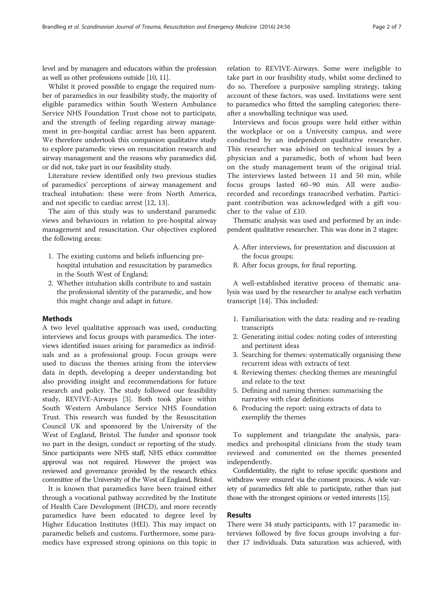level and by managers and educators within the profession as well as other professions outside [[10](#page-6-0), [11](#page-6-0)].

Whilst it proved possible to engage the required number of paramedics in our feasibility study, the majority of eligible paramedics within South Western Ambulance Service NHS Foundation Trust chose not to participate, and the strength of feeling regarding airway management in pre-hospital cardiac arrest has been apparent. We therefore undertook this companion qualitative study to explore paramedic views on resuscitation research and airway management and the reasons why paramedics did, or did not, take part in our feasibility study.

Literature review identified only two previous studies of paramedics' perceptions of airway management and tracheal intubation: these were from North America, and not specific to cardiac arrest [\[12, 13\]](#page-6-0).

The aim of this study was to understand paramedic views and behaviours in relation to pre-hospital airway management and resuscitation. Our objectives explored the following areas:

- 1. The existing customs and beliefs influencing prehospital intubation and resuscitation by paramedics in the South West of England;
- 2. Whether intubation skills contribute to and sustain the professional identity of the paramedic, and how this might change and adapt in future.

# **Methods**

A two level qualitative approach was used, conducting interviews and focus groups with paramedics. The interviews identified issues arising for paramedics as individuals and as a professional group. Focus groups were used to discuss the themes arising from the interview data in depth, developing a deeper understanding but also providing insight and recommendations for future research and policy. The study followed our feasibility study, REVIVE-Airways [[3\]](#page-6-0). Both took place within South Western Ambulance Service NHS Foundation Trust. This research was funded by the Resuscitation Council UK and sponsored by the University of the West of England, Bristol. The funder and sponsor took no part in the design, conduct or reporting of the study. Since participants were NHS staff, NHS ethics committee approval was not required. However the project was reviewed and governance provided by the research ethics committee of the University of the West of England, Bristol.

It is known that paramedics have been trained either through a vocational pathway accredited by the Institute of Health Care Development (IHCD), and more recently paramedics have been educated to degree level by Higher Education Institutes (HEI). This may impact on paramedic beliefs and customs. Furthermore, some paramedics have expressed strong opinions on this topic in relation to REVIVE-Airways. Some were ineligible to take part in our feasibility study, whilst some declined to do so. Therefore a purposive sampling strategy, taking account of these factors, was used. Invitations were sent to paramedics who fitted the sampling categories; thereafter a snowballing technique was used.

Interviews and focus groups were held either within the workplace or on a University campus, and were conducted by an independent qualitative researcher. This researcher was advised on technical issues by a physician and a paramedic, both of whom had been on the study management team of the original trial. The interviews lasted between 11 and 50 min, while focus groups lasted 60–90 min. All were audiorecorded and recordings transcribed verbatim. Participant contribution was acknowledged with a gift voucher to the value of £10.

Thematic analysis was used and performed by an independent qualitative researcher. This was done in 2 stages:

- A. After interviews, for presentation and discussion at the focus groups;
- B. After focus groups, for final reporting.

A well-established iterative process of thematic analysis was used by the researcher to analyse each verbatim transcript [\[14](#page-6-0)]. This included:

- 1. Familiarisation with the data: reading and re-reading transcripts
- 2. Generating initial codes: noting codes of interesting and pertinent ideas
- 3. Searching for themes: systematically organising these recurrent ideas with extracts of text
- 4. Reviewing themes: checking themes are meaningful and relate to the text
- 5. Defining and naming themes: summarising the narrative with clear definitions
- 6. Producing the report: using extracts of data to exemplify the themes

To supplement and triangulate the analysis, paramedics and prehospital clinicians from the study team reviewed and commented on the themes presented independently.

Confidentiality, the right to refuse specific questions and withdraw were ensured via the consent process. A wide variety of paramedics felt able to participate, rather than just those with the strongest opinions or vested interests [\[15\]](#page-6-0).

#### Results

There were 34 study participants, with 17 paramedic interviews followed by five focus groups involving a further 17 individuals. Data saturation was achieved, with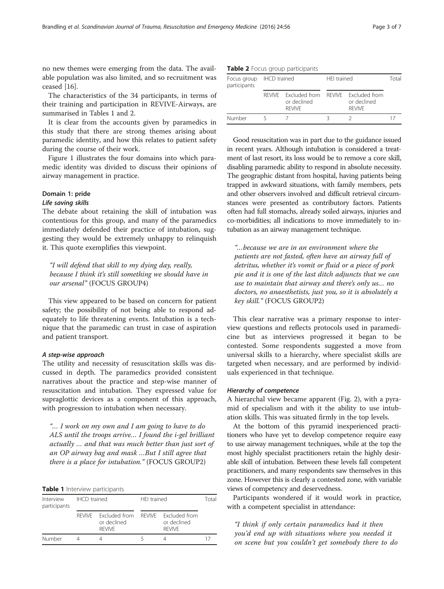no new themes were emerging from the data. The available population was also limited, and so recruitment was ceased [[16](#page-6-0)].

The characteristics of the 34 participants, in terms of their training and participation in REVIVE-Airways, are summarised in Tables 1 and 2.

It is clear from the accounts given by paramedics in this study that there are strong themes arising about paramedic identity, and how this relates to patient safety during the course of their work.

Figure [1](#page-3-0) illustrates the four domains into which paramedic identity was divided to discuss their opinions of airway management in practice.

# Domain 1: pride

# Life saving skills

The debate about retaining the skill of intubation was contentious for this group, and many of the paramedics immediately defended their practice of intubation, suggesting they would be extremely unhappy to relinquish it. This quote exemplifies this viewpoint.

"I will defend that skill to my dying day, really, because I think it's still something we should have in our arsenal" (FOCUS GROUP4)

This view appeared to be based on concern for patient safety; the possibility of not being able to respond adequately to life threatening events. Intubation is a technique that the paramedic can trust in case of aspiration and patient transport.

# A step-wise approach

The utility and necessity of resuscitation skills was discussed in depth. The paramedics provided consistent narratives about the practice and step-wise manner of resuscitation and intubation. They expressed value for supraglottic devices as a component of this approach, with progression to intubation when necessary.

"… I work on my own and I am going to have to do ALS until the troops arrive… I found the i-gel brilliant actually … and that was much better than just sort of an OP airway bag and mask …But I still agree that there is a place for intubation." (FOCUS GROUP2)

#### Table 1 Interview participants

| Interview<br>participants | <b>IHCD</b> trained |                                                                           | HFI trained |                              | Total |
|---------------------------|---------------------|---------------------------------------------------------------------------|-------------|------------------------------|-------|
|                           |                     | REVIVE Excluded from REVIVE Excluded from<br>or declined<br><b>REVIVE</b> |             | or declined<br><b>REVIVE</b> |       |
| Number                    |                     |                                                                           |             |                              |       |

# Table 2 Focus group participants

| .            |                          |                                                                           |             |                              |       |  |  |  |  |
|--------------|--------------------------|---------------------------------------------------------------------------|-------------|------------------------------|-------|--|--|--|--|
| participants | Focus group IHCD trained |                                                                           | HEI trained |                              | Total |  |  |  |  |
|              |                          | REVIVE Excluded from REVIVE Excluded from<br>or declined<br><b>RFVIVF</b> |             | or declined<br><b>RFVIVF</b> |       |  |  |  |  |
| Number       |                          |                                                                           |             |                              |       |  |  |  |  |

Good resuscitation was in part due to the guidance issued in recent years. Although intubation is considered a treatment of last resort, its loss would be to remove a core skill, disabling paramedic ability to respond in absolute necessity. The geographic distant from hospital, having patients being trapped in awkward situations, with family members, pets and other observers involved and difficult retrieval circumstances were presented as contributory factors. Patients often had full stomachs, already soiled airways, injuries and co-morbidities; all indications to move immediately to intubation as an airway management technique.

"…because we are in an environment where the patients are not fasted, often have an airway full of detritus, whether it's vomit or fluid or a piece of pork pie and it is one of the last ditch adjuncts that we can use to maintain that airway and there's only us… no doctors, no anaesthetists, just you, so it is absolutely a key skill." (FOCUS GROUP2)

This clear narrative was a primary response to interview questions and reflects protocols used in paramedicine but as interviews progressed it began to be contested. Some respondents suggested a move from universal skills to a hierarchy, where specialist skills are targeted when necessary, and are performed by individuals experienced in that technique.

#### Hierarchy of competence

A hierarchal view became apparent (Fig. [2\)](#page-3-0), with a pyramid of specialism and with it the ability to use intubation skills. This was situated firmly in the top levels.

At the bottom of this pyramid inexperienced practitioners who have yet to develop competence require easy to use airway management techniques, while at the top the most highly specialist practitioners retain the highly desirable skill of intubation. Between these levels fall competent practitioners, and many respondents saw themselves in this zone. However this is clearly a contested zone, with variable views of competency and deservedness.

Participants wondered if it would work in practice, with a competent specialist in attendance:

"I think if only certain paramedics had it then you'd end up with situations where you needed it on scene but you couldn't get somebody there to do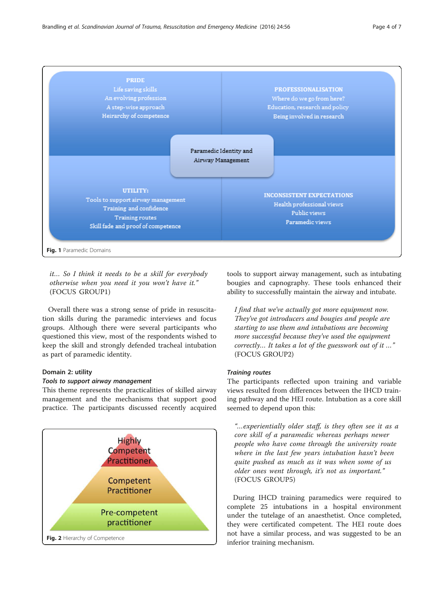<span id="page-3-0"></span>

it… So I think it needs to be a skill for everybody otherwise when you need it you won't have it." (FOCUS GROUP1)

Overall there was a strong sense of pride in resuscitation skills during the paramedic interviews and focus groups. Although there were several participants who questioned this view, most of the respondents wished to keep the skill and strongly defended tracheal intubation as part of paramedic identity.

# Domain 2: utility

# Tools to support airway management

This theme represents the practicalities of skilled airway management and the mechanisms that support good practice. The participants discussed recently acquired



tools to support airway management, such as intubating bougies and capnography. These tools enhanced their ability to successfully maintain the airway and intubate.

I find that we've actually got more equipment now. They've got introducers and bougies and people are starting to use them and intubations are becoming more successful because they've used the equipment correctly… It takes a lot of the guesswork out of it …" (FOCUS GROUP2)

# Training routes

The participants reflected upon training and variable views resulted from differences between the IHCD training pathway and the HEI route. Intubation as a core skill seemed to depend upon this:

"…experientially older staff, is they often see it as a core skill of a paramedic whereas perhaps newer people who have come through the university route where in the last few years intubation hasn't been quite pushed as much as it was when some of us older ones went through, it's not as important." (FOCUS GROUP5)

During IHCD training paramedics were required to complete 25 intubations in a hospital environment under the tutelage of an anaesthetist. Once completed, they were certificated competent. The HEI route does not have a similar process, and was suggested to be an inferior training mechanism.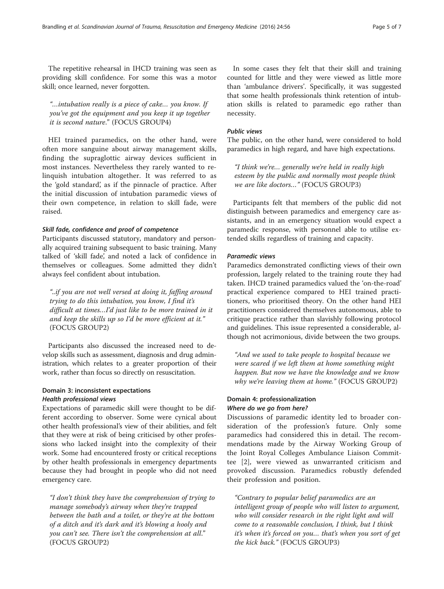The repetitive rehearsal in IHCD training was seen as providing skill confidence. For some this was a motor skill; once learned, never forgotten.

"…intubation really is a piece of cake… you know. If you've got the equipment and you keep it up together it is second nature." (FOCUS GROUP4)

HEI trained paramedics, on the other hand, were often more sanguine about airway management skills, finding the supraglottic airway devices sufficient in most instances. Nevertheless they rarely wanted to relinquish intubation altogether. It was referred to as the 'gold standard', as if the pinnacle of practice. After the initial discussion of intubation paramedic views of their own competence, in relation to skill fade, were raised.

#### Skill fade, confidence and proof of competence

Participants discussed statutory, mandatory and personally acquired training subsequent to basic training. Many talked of 'skill fade', and noted a lack of confidence in themselves or colleagues. Some admitted they didn't always feel confident about intubation.

"..if you are not well versed at doing it, faffing around trying to do this intubation, you know, I find it's difficult at times…I'd just like to be more trained in it and keep the skills up so I'd be more efficient at it." (FOCUS GROUP2)

Participants also discussed the increased need to develop skills such as assessment, diagnosis and drug administration, which relates to a greater proportion of their work, rather than focus so directly on resuscitation.

# Domain 3: inconsistent expectations Health professional views

Expectations of paramedic skill were thought to be different according to observer. Some were cynical about other health professional's view of their abilities, and felt that they were at risk of being criticised by other professions who lacked insight into the complexity of their work. Some had encountered frosty or critical receptions by other health professionals in emergency departments because they had brought in people who did not need emergency care.

"I don't think they have the comprehension of trying to manage somebody's airway when they're trapped between the bath and a toilet, or they're at the bottom of a ditch and it's dark and it's blowing a hooly and you can't see. There isn't the comprehension at all." (FOCUS GROUP2)

In some cases they felt that their skill and training counted for little and they were viewed as little more than 'ambulance drivers'. Specifically, it was suggested that some health professionals think retention of intubation skills is related to paramedic ego rather than necessity.

### Public views

The public, on the other hand, were considered to hold paramedics in high regard, and have high expectations.

"I think we're… generally we're held in really high esteem by the public and normally most people think we are like doctors…" (FOCUS GROUP3)

Participants felt that members of the public did not distinguish between paramedics and emergency care assistants, and in an emergency situation would expect a paramedic response, with personnel able to utilise extended skills regardless of training and capacity.

# Paramedic views

Paramedics demonstrated conflicting views of their own profession, largely related to the training route they had taken. IHCD trained paramedics valued the 'on-the-road' practical experience compared to HEI trained practitioners, who prioritised theory. On the other hand HEI practitioners considered themselves autonomous, able to critique practice rather than slavishly following protocol and guidelines. This issue represented a considerable, although not acrimonious, divide between the two groups.

"And we used to take people to hospital because we were scared if we left them at home something might happen. But now we have the knowledge and we know why we're leaving them at home." (FOCUS GROUP2)

# Domain 4: professionalization Where do we go from here?

Discussions of paramedic identity led to broader consideration of the profession's future. Only some paramedics had considered this in detail. The recommendations made by the Airway Working Group of the Joint Royal Colleges Ambulance Liaison Committee [[2\]](#page-6-0), were viewed as unwarranted criticism and provoked discussion. Paramedics robustly defended their profession and position.

"Contrary to popular belief paramedics are an intelligent group of people who will listen to argument, who will consider research in the right light and will come to a reasonable conclusion, I think, but I think it's when it's forced on you… that's when you sort of get the kick back." (FOCUS GROUP3)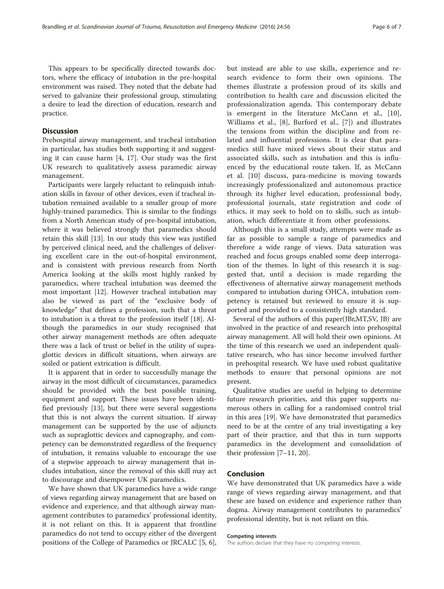This appears to be specifically directed towards doctors, where the efficacy of intubation in the pre-hospital environment was raised. They noted that the debate had served to galvanize their professional group, stimulating a desire to lead the direction of education, research and practice.

# **Discussion**

Prehospital airway management, and tracheal intubation in particular, has studies both supporting it and suggesting it can cause harm [[4, 17](#page-6-0)]. Our study was the first UK research to qualitatively assess paramedic airway management.

Participants were largely reluctant to relinquish intubation skills in favour of other devices, even if tracheal intubation remained available to a smaller group of more highly-trained paramedics. This is similar to the findings from a North American study of pre-hospital intubation, where it was believed strongly that paramedics should retain this skill [\[13](#page-6-0)]. In our study this view was justified by perceived clinical need, and the challenges of delivering excellent care in the out-of-hospital environment, and is consistent with previous research from North America looking at the skills most highly ranked by paramedics, where tracheal intubation was deemed the most important [[12\]](#page-6-0). However tracheal intubation may also be viewed as part of the "exclusive body of knowledge" that defines a profession, such that a threat to intubation is a threat to the profession itself [[18\]](#page-6-0). Although the paramedics in our study recognised that other airway management methods are often adequate there was a lack of trust or belief in the utility of supraglottic devices in difficult situations, when airways are soiled or patient extrication is difficult.

It is apparent that in order to successfully manage the airway in the most difficult of circumstances, paramedics should be provided with the best possible training, equipment and support. These issues have been identified previously [\[13](#page-6-0)], but there were several suggestions that this is not always the current situation. If airway management can be supported by the use of adjuncts such as supraglottic devices and capnography, and competency can be demonstrated regardless of the frequency of intubation, it remains valuable to encourage the use of a stepwise approach to airway management that includes intubation, since the removal of this skill may act to discourage and disempower UK paramedics.

We have shown that UK paramedics have a wide range of views regarding airway management that are based on evidence and experience, and that although airway management contributes to paramedics' professional identity, it is not reliant on this. It is apparent that frontline paramedics do not tend to occupy either of the divergent positions of the College of Paramedics or JRCALC [\[5](#page-6-0), [6](#page-6-0)],

but instead are able to use skills, experience and research evidence to form their own opinions. The themes illustrate a profession proud of its skills and contribution to health care and discussion elicited the professionalization agenda. This contemporary debate is emergent in the literature McCann et al., [\[10](#page-6-0)], Williams et al., [\[8](#page-6-0)], Burford et al., [\[7](#page-6-0)]) and illustrates the tensions from within the discipline and from related and influential professions. It is clear that paramedics still have mixed views about their status and associated skills, such as intubation and this is influenced by the educational route taken. If, as McCann et al. [\[10](#page-6-0)] discuss, para-medicine is moving towards increasingly professionalized and autonomous practice through its higher level education, professional body, professional journals, state registration and code of ethics, it may seek to hold on to skills, such as intubation, which differentiate it from other professions.

Although this is a small study, attempts were made as far as possible to sample a range of paramedics and therefore a wide range of views. Data saturation was reached and focus groups enabled some deep interrogation of the themes. In light of this research it is suggested that, until a decision is made regarding the effectiveness of alternative airway management methods compared to intubation during OHCA, intubation competency is retained but reviewed to ensure it is supported and provided to a consistently high standard.

Several of the authors of this paper(JBr,MT,SV, JB) are involved in the practice of and research into prehospital airway management. All will hold their own opinions. At the time of this research we used an independent qualitative research, who has since become involved further in prehospital research. We have used robust qualitative methods to ensure that personal opinions are not present.

Qualitative studies are useful in helping to determine future research priorities, and this paper supports numerous others in calling for a randomised control trial in this area [[19\]](#page-6-0). We have demonstrated that paramedics need to be at the centre of any trial investigating a key part of their practice, and that this in turn supports paramedics in the development and consolidation of their profession [[7](#page-6-0)–[11](#page-6-0), [20](#page-6-0)].

# Conclusion

We have demonstrated that UK paramedics have a wide range of views regarding airway management, and that these are based on evidence and experience rather than dogma. Airway management contributes to paramedics' professional identity, but is not reliant on this.

#### Competing interests

The authors declare that they have no competing interests.